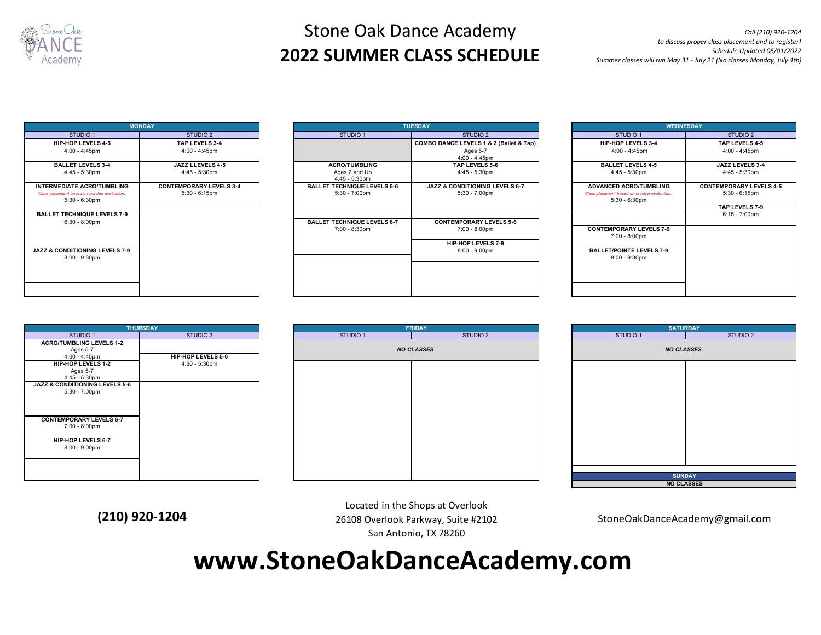

# Stone Oak Dance Academy **2022 SUMMER CLASS SCHEDULE**

*Call (210) 920-1204 to discuss proper class placement and to register! Schedule Updated 06/01/2022 Summer classes will run May 31 - July 21 (No classes Monday, July 4th)*

| <b>MONDAY</b>                                                                                         |                                                    |  |  |  |
|-------------------------------------------------------------------------------------------------------|----------------------------------------------------|--|--|--|
| STUDIO 1                                                                                              | STUDIO <sub>2</sub>                                |  |  |  |
| <b>HIP-HOP LEVELS 4-5</b>                                                                             | TAP I FVFI S 3-4                                   |  |  |  |
| $4:00 - 4:45$ pm                                                                                      | 4:00 - 4:45pm                                      |  |  |  |
| <b>BALLET LEVELS 3-4</b><br>4:45 - 5:30pm                                                             | JAZZ LLEVELS 4-5<br>4:45 - 5:30pm                  |  |  |  |
| <b>INTERMEDIATE ACRO/TUMBLING</b><br>Class placement based on teacher evaluation.<br>$5:30 - 6:30$ pm | <b>CONTEMPORARY LEVELS 3-4</b><br>$5:30 - 6:15$ pm |  |  |  |
| <b>BALLET TECHNIQUE LEVELS 7-9</b><br>$6:30 - 8:00$ pm                                                |                                                    |  |  |  |
| <b>JAZZ &amp; CONDITIONING LEVELS 7-9</b><br>$8:00 - 9:30$ pm                                         |                                                    |  |  |  |
|                                                                                                       |                                                    |  |  |  |

| <b>MONDAY</b>                                                                                      |                                                    |                                                               | <b>TUESDAY</b>                                                       |  |                                                                                                   | <b>WEDNESDAY</b>                                   |  |
|----------------------------------------------------------------------------------------------------|----------------------------------------------------|---------------------------------------------------------------|----------------------------------------------------------------------|--|---------------------------------------------------------------------------------------------------|----------------------------------------------------|--|
| STUDIO 1                                                                                           | STUDIO 2                                           | STUDIO <sub>1</sub>                                           | STUDIO 2                                                             |  | STUDIO 1                                                                                          | STUDIO 2                                           |  |
| <b>HIP-HOP LEVELS 4-5</b>                                                                          | TAP LEVELS 3-4                                     |                                                               | COMBO DANCE LEVELS 1 & 2 (Ballet & Tap)                              |  | HIP-HOP LEVELS 3-4                                                                                | TAP LEVELS 4-5                                     |  |
| $4:00 - 4:45$ pm                                                                                   | $4:00 - 4:45$ pm                                   |                                                               | Ages 5-7<br>$4:00 - 4:45$ pm                                         |  | $4:00 - 4:45$ pm                                                                                  | $4:00 - 4:45$ pm                                   |  |
| <b>BALLET LEVELS 3-4</b><br>$4:45 - 5:30 \text{pm}$                                                | JAZZ LLEVELS 4-5<br>$4:45 - 5:30 \text{pm}$        | <b>ACRO/TUMBLING</b><br>Ages 7 and Up<br>4:45 - 5:30pm        | TAP LEVELS 5-6<br>$4:45 - 5:30 \text{pm}$                            |  | <b>BALLET LEVELS 4-5</b><br>$4:45 - 5:30 \text{pm}$                                               | JAZZ LEVELS 3-4<br>$4:45 - 5:30 \text{pm}$         |  |
| <b>INTERMEDIATE ACRO/TUMBLING</b><br>Class placement based on teacher evaluation.<br>5:30 - 6:30pm | <b>CONTEMPORARY LEVELS 3-4</b><br>$5:30 - 6:15$ pm | <b>BALLET TECHNIQUE LEVELS 5-6</b><br>$5:30 - 7:00 \text{pm}$ | <b>JAZZ &amp; CONDITIONING LEVELS 6-7</b><br>$5:30 - 7:00 \text{pm}$ |  | <b>ADVANCED ACRO/TUMBLING</b><br>Class placement based on teacher evaluation.<br>$5:30 - 6:30$ pm | <b>CONTEMPORARY LEVELS 4-5</b><br>$5:30 - 6:15$ pm |  |
| <b>BALLET TECHNIQUE LEVELS 7-9</b><br>$6:30 - 8:00 \text{pm}$                                      |                                                    | <b>BALLET TECHNIQUE LEVELS 6-7</b>                            | <b>CONTEMPORARY LEVELS 5-6</b>                                       |  |                                                                                                   | TAP LEVELS 7-9<br>$6:15 - 7:00 \text{pm}$          |  |
|                                                                                                    |                                                    | 7:00 - 8:30pm                                                 | 7:00 - 8:00pm<br><b>HIP-HOP LEVELS 7-9</b>                           |  | <b>CONTEMPORARY LEVELS 7-9</b><br>7:00 - 8:00pm                                                   |                                                    |  |
| <b>JAZZ &amp; CONDITIONING LEVELS 7-9</b><br>8:00 - 9:30pm                                         |                                                    |                                                               | $8:00 - 9:00$ pm                                                     |  | <b>BALLET/POINTE LEVELS 7-9</b><br>8:00 - 9:30pm                                                  |                                                    |  |
|                                                                                                    |                                                    |                                                               |                                                                      |  |                                                                                                   |                                                    |  |
|                                                                                                    |                                                    |                                                               |                                                                      |  |                                                                                                   |                                                    |  |

| <b>WEDNESDAY</b>                             |                                |  |  |  |
|----------------------------------------------|--------------------------------|--|--|--|
| STUDIO 1                                     | STUDIO <sub>2</sub>            |  |  |  |
| HIP-HOP LEVELS 3-4                           | TAP LEVELS 4-5                 |  |  |  |
| $4:00 - 4:45$ pm                             | 4:00 - 4:45pm                  |  |  |  |
| <b>BALLET LEVELS 4-5</b>                     | JAZZ LEVELS 3-4                |  |  |  |
| 4:45 - 5:30pm                                | 4:45 - 5:30pm                  |  |  |  |
| <b>ADVANCED ACRO/TUMBLING</b>                | <b>CONTEMPORARY LEVELS 4-5</b> |  |  |  |
| Class placement based on teacher evaluation. | $5:30 - 6:15$ pm               |  |  |  |
| $5:30 - 6:30$ pm                             | TAP LEVELS 7-9                 |  |  |  |
|                                              | $6:15 - 7:00$ pm               |  |  |  |
|                                              |                                |  |  |  |
| <b>CONTEMPORARY LEVELS 7-9</b>               |                                |  |  |  |
| 7:00 - 8:00pm                                |                                |  |  |  |
| <b>BALLET/POINTE LEVELS 7-9</b>              |                                |  |  |  |
| $8:00 - 9:30$ pm                             |                                |  |  |  |
|                                              |                                |  |  |  |
|                                              |                                |  |  |  |
|                                              |                                |  |  |  |
|                                              |                                |  |  |  |







Located in the Shops at Overlook 26108 Overlook Parkway, Suite #2102 San Antonio, TX 78260 **(210) 920-1204** 26108 Overlook Parkway, Suite #2102 StoneOakDanceAcademy@gmail.com

**www.StoneOakDanceAcademy.com**